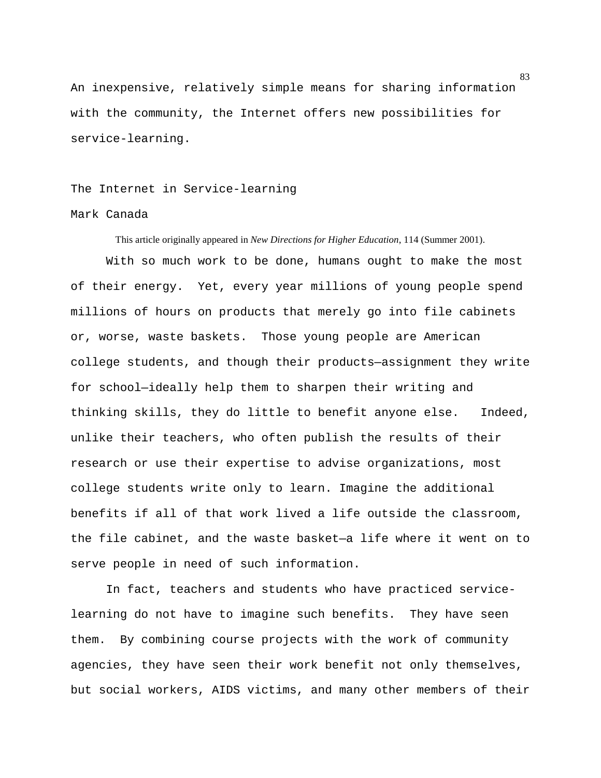An inexpensive, relatively simple means for sharing information with the community, the Internet offers new possibilities for service-learning.

## The Internet in Service-learning

## Mark Canada

This article originally appeared in *New Directions for Higher Education*, 114 (Summer 2001).

With so much work to be done, humans ought to make the most of their energy. Yet, every year millions of young people spend millions of hours on products that merely go into file cabinets or, worse, waste baskets. Those young people are American college students, and though their products—assignment they write for school—ideally help them to sharpen their writing and thinking skills, they do little to benefit anyone else. Indeed, unlike their teachers, who often publish the results of their research or use their expertise to advise organizations, most college students write only to learn. Imagine the additional benefits if all of that work lived a life outside the classroom, the file cabinet, and the waste basket—a life where it went on to serve people in need of such information.

In fact, teachers and students who have practiced servicelearning do not have to imagine such benefits. They have seen them. By combining course projects with the work of community agencies, they have seen their work benefit not only themselves, but social workers, AIDS victims, and many other members of their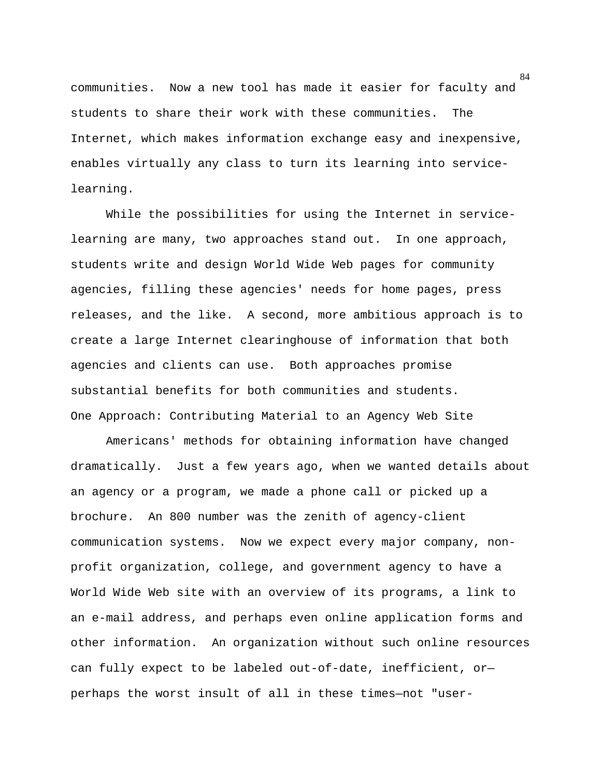communities. Now a new tool has made it easier for faculty and students to share their work with these communities. The Internet, which makes information exchange easy and inexpensive, enables virtually any class to turn its learning into servicelearning.

While the possibilities for using the Internet in servicelearning are many, two approaches stand out. In one approach, students write and design World Wide Web pages for community agencies, filling these agencies' needs for home pages, press releases, and the like. A second, more ambitious approach is to create a large Internet clearinghouse of information that both agencies and clients can use. Both approaches promise substantial benefits for both communities and students. One Approach: Contributing Material to an Agency Web Site

Americans' methods for obtaining information have changed dramatically. Just a few years ago, when we wanted details about an agency or a program, we made a phone call or picked up a brochure. An 800 number was the zenith of agency-client communication systems. Now we expect every major company, nonprofit organization, college, and government agency to have a World Wide Web site with an overview of its programs, a link to an e-mail address, and perhaps even online application forms and other information. An organization without such online resources can fully expect to be labeled out-of-date, inefficient, or perhaps the worst insult of all in these times—not "user-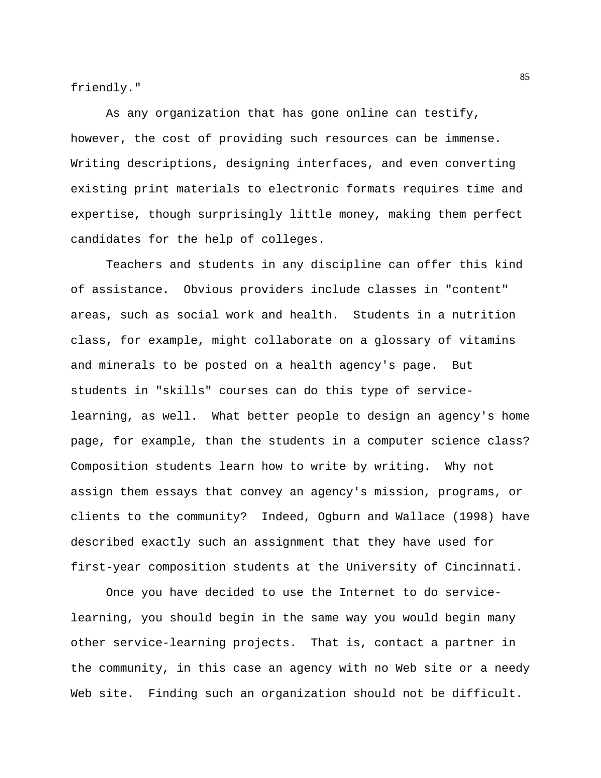friendly."

As any organization that has gone online can testify, however, the cost of providing such resources can be immense. Writing descriptions, designing interfaces, and even converting existing print materials to electronic formats requires time and expertise, though surprisingly little money, making them perfect candidates for the help of colleges.

Teachers and students in any discipline can offer this kind of assistance. Obvious providers include classes in "content" areas, such as social work and health. Students in a nutrition class, for example, might collaborate on a glossary of vitamins and minerals to be posted on a health agency's page. But students in "skills" courses can do this type of servicelearning, as well. What better people to design an agency's home page, for example, than the students in a computer science class? Composition students learn how to write by writing. Why not assign them essays that convey an agency's mission, programs, or clients to the community? Indeed, Ogburn and Wallace (1998) have described exactly such an assignment that they have used for first-year composition students at the University of Cincinnati.

Once you have decided to use the Internet to do servicelearning, you should begin in the same way you would begin many other service-learning projects. That is, contact a partner in the community, in this case an agency with no Web site or a needy Web site. Finding such an organization should not be difficult.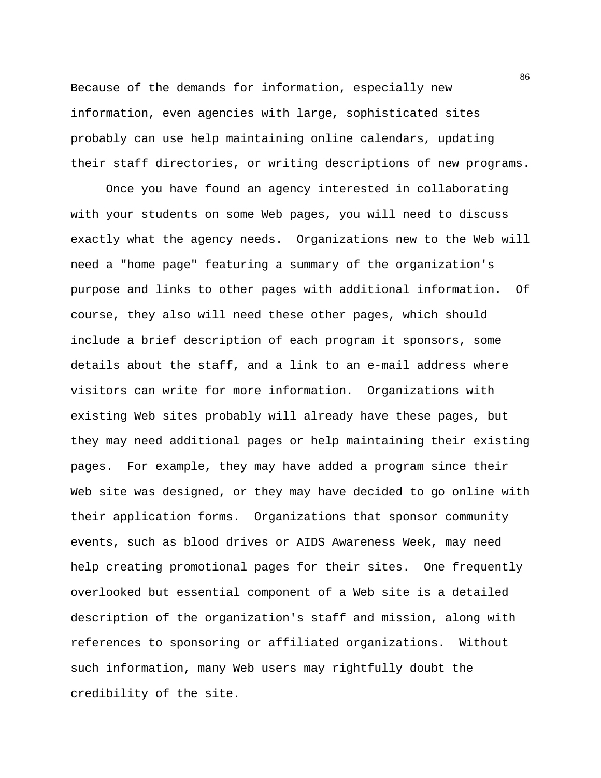Because of the demands for information, especially new information, even agencies with large, sophisticated sites probably can use help maintaining online calendars, updating their staff directories, or writing descriptions of new programs.

Once you have found an agency interested in collaborating with your students on some Web pages, you will need to discuss exactly what the agency needs. Organizations new to the Web will need a "home page" featuring a summary of the organization's purpose and links to other pages with additional information. Of course, they also will need these other pages, which should include a brief description of each program it sponsors, some details about the staff, and a link to an e-mail address where visitors can write for more information. Organizations with existing Web sites probably will already have these pages, but they may need additional pages or help maintaining their existing pages. For example, they may have added a program since their Web site was designed, or they may have decided to go online with their application forms. Organizations that sponsor community events, such as blood drives or AIDS Awareness Week, may need help creating promotional pages for their sites. One frequently overlooked but essential component of a Web site is a detailed description of the organization's staff and mission, along with references to sponsoring or affiliated organizations. Without such information, many Web users may rightfully doubt the credibility of the site.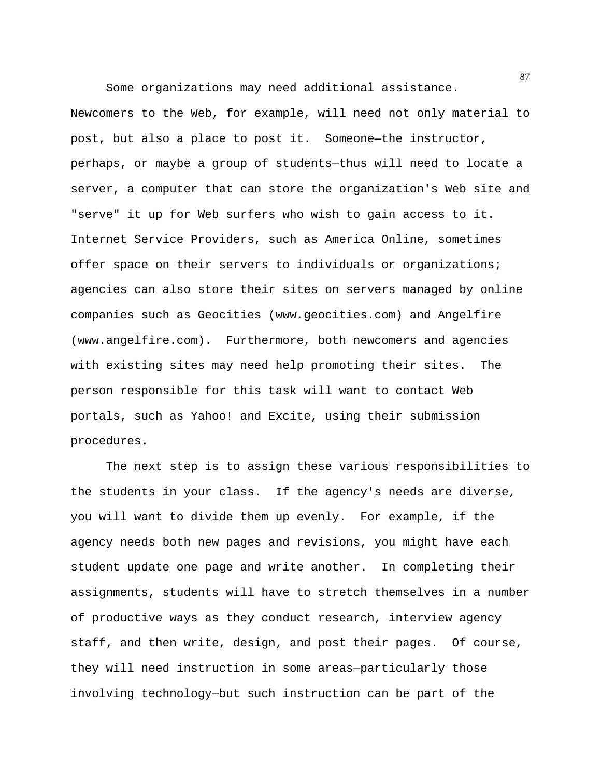Some organizations may need additional assistance.

Newcomers to the Web, for example, will need not only material to post, but also a place to post it. Someone—the instructor, perhaps, or maybe a group of students—thus will need to locate a server, a computer that can store the organization's Web site and "serve" it up for Web surfers who wish to gain access to it. Internet Service Providers, such as America Online, sometimes offer space on their servers to individuals or organizations; agencies can also store their sites on servers managed by online companies such as Geocities (www.geocities.com) and Angelfire (www.angelfire.com). Furthermore, both newcomers and agencies with existing sites may need help promoting their sites. The person responsible for this task will want to contact Web portals, such as Yahoo! and Excite, using their submission procedures.

The next step is to assign these various responsibilities to the students in your class. If the agency's needs are diverse, you will want to divide them up evenly. For example, if the agency needs both new pages and revisions, you might have each student update one page and write another. In completing their assignments, students will have to stretch themselves in a number of productive ways as they conduct research, interview agency staff, and then write, design, and post their pages. Of course, they will need instruction in some areas—particularly those involving technology—but such instruction can be part of the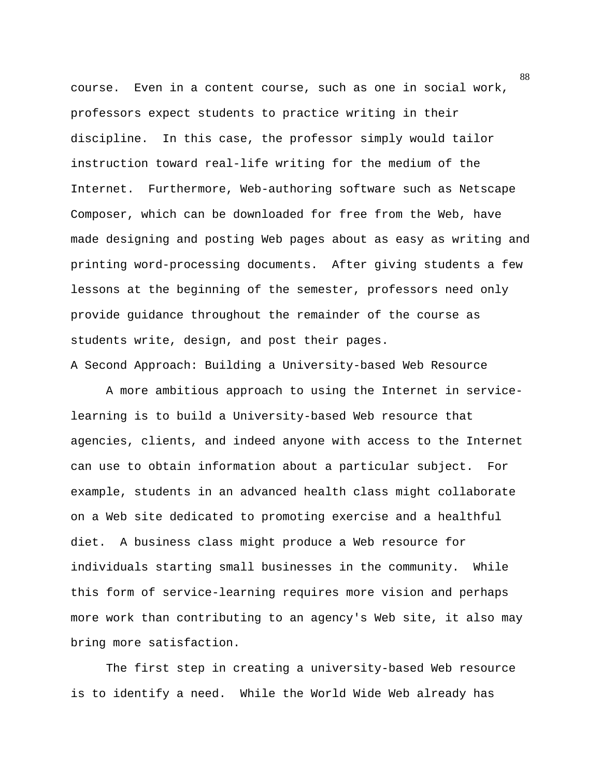course. Even in a content course, such as one in social work, professors expect students to practice writing in their discipline. In this case, the professor simply would tailor instruction toward real-life writing for the medium of the Internet. Furthermore, Web-authoring software such as Netscape Composer, which can be downloaded for free from the Web, have made designing and posting Web pages about as easy as writing and printing word-processing documents. After giving students a few lessons at the beginning of the semester, professors need only provide guidance throughout the remainder of the course as students write, design, and post their pages.

A more ambitious approach to using the Internet in servicelearning is to build a University-based Web resource that agencies, clients, and indeed anyone with access to the Internet can use to obtain information about a particular subject. For example, students in an advanced health class might collaborate on a Web site dedicated to promoting exercise and a healthful diet. A business class might produce a Web resource for individuals starting small businesses in the community. While this form of service-learning requires more vision and perhaps more work than contributing to an agency's Web site, it also may bring more satisfaction.

A Second Approach: Building a University-based Web Resource

The first step in creating a university-based Web resource is to identify a need. While the World Wide Web already has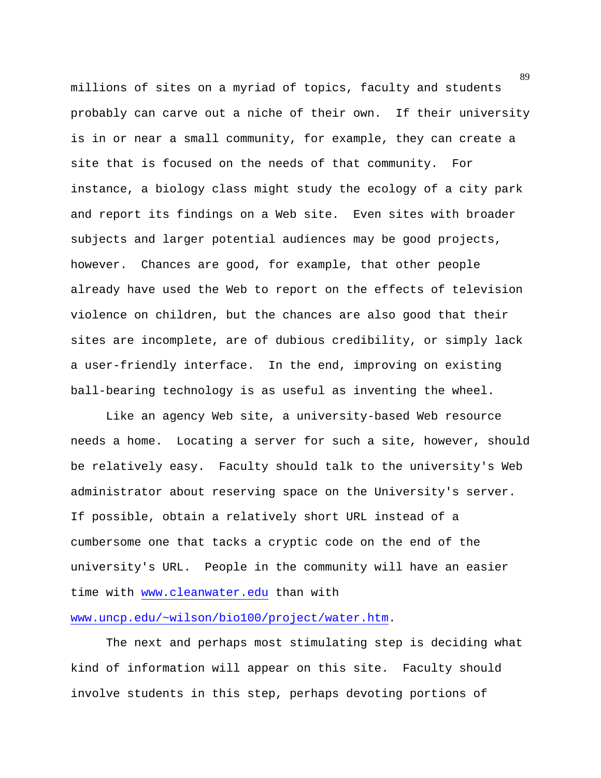millions of sites on a myriad of topics, faculty and students probably can carve out a niche of their own. If their university is in or near a small community, for example, they can create a site that is focused on the needs of that community. For instance, a biology class might study the ecology of a city park and report its findings on a Web site. Even sites with broader subjects and larger potential audiences may be good projects, however. Chances are good, for example, that other people already have used the Web to report on the effects of television violence on children, but the chances are also good that their sites are incomplete, are of dubious credibility, or simply lack a user-friendly interface. In the end, improving on existing ball-bearing technology is as useful as inventing the wheel.

Like an agency Web site, a university-based Web resource needs a home. Locating a server for such a site, however, should be relatively easy. Faculty should talk to the university's Web administrator about reserving space on the University's server. If possible, obtain a relatively short URL instead of a cumbersome one that tacks a cryptic code on the end of the university's URL. People in the community will have an easier time with www.cleanwater.edu than with

The next and perhaps most stimulating step is deciding what kind of information will appear on this site. Faculty should involve students in this step, perhaps devoting portions of

www.uncp.edu/~wilson/bio100/project/water.htm .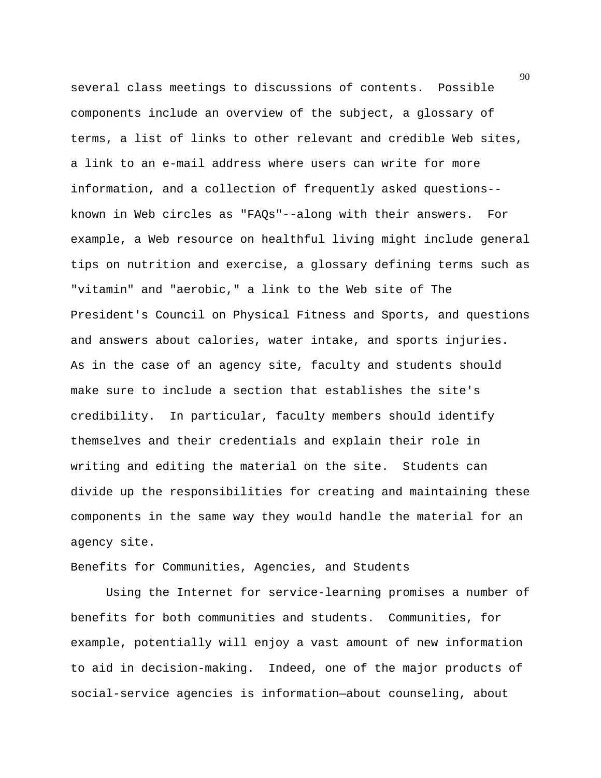several class meetings to discussions of contents. Possible components include an overview of the subject, a glossary of terms, a list of links to other relevant and credible Web sites, a link to an e-mail address where users can write for more information, and a collection of frequently asked questions- known in Web circles as "FAQs"--along with their answers. For example, a Web resource on healthful living might include general tips on nutrition and exercise, a glossary defining terms such as "vitamin" and "aerobic," a link to the Web site of The President's Council on Physical Fitness and Sports, and questions and answers about calories, water intake, and sports injuries. As in the case of an agency site, faculty and students should make sure to include a section that establishes the site's credibility. In particular, faculty members should identify themselves and their credentials and explain their role in writing and editing the material on the site. Students can divide up the responsibilities for creating and maintaining these components in the same way they would handle the material for an agency site.

## Benefits for Communities, Agencies, and Students

Using the Internet for service-learning promises a number of benefits for both communities and students. Communities, for example, potentially will enjoy a vast amount of new information to aid in decision-making. Indeed, one of the major products of social-service agencies is information—about counseling, about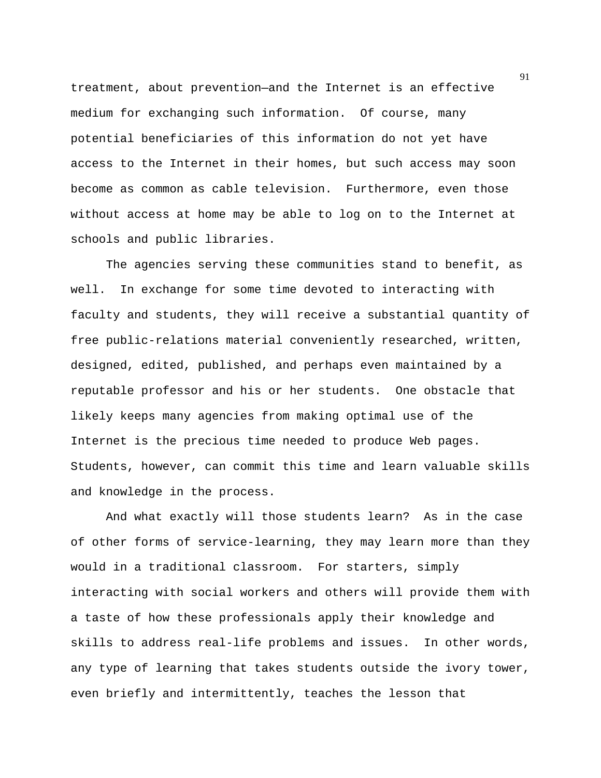treatment, about prevention—and the Internet is an effective medium for exchanging such information. Of course, many potential beneficiaries of this information do not yet have access to the Internet in their homes, but such access may soon become as common as cable television. Furthermore, even those without access at home may be able to log on to the Internet at schools and public libraries.

The agencies serving these communities stand to benefit, as well. In exchange for some time devoted to interacting with faculty and students, they will receive a substantial quantity of free public-relations material conveniently researched, written, designed, edited, published, and perhaps even maintained by a reputable professor and his or her students. One obstacle that likely keeps many agencies from making optimal use of the Internet is the precious time needed to produce Web pages. Students, however, can commit this time and learn valuable skills and knowledge in the process.

And what exactly will those students learn? As in the case of other forms of service-learning, they may learn more than they would in a traditional classroom. For starters, simply interacting with social workers and others will provide them with a taste of how these professionals apply their knowledge and skills to address real-life problems and issues. In other words, any type of learning that takes students outside the ivory tower, even briefly and intermittently, teaches the lesson that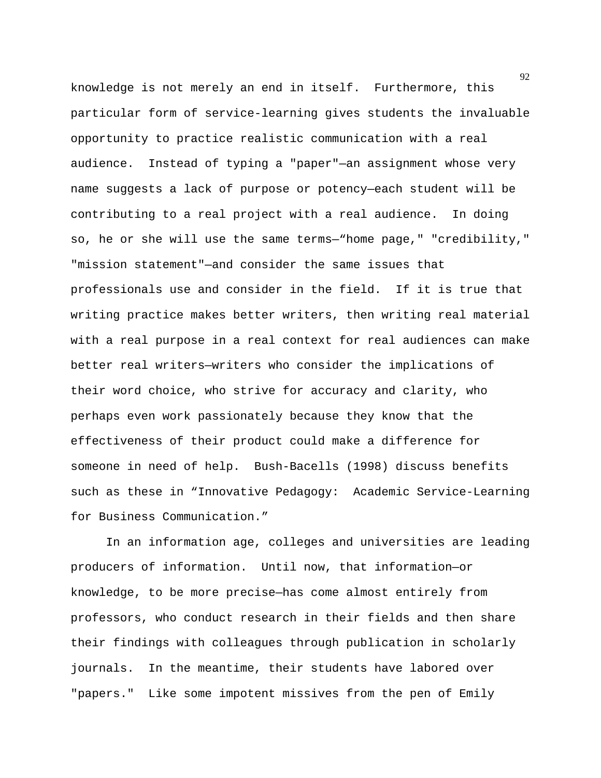knowledge is not merely an end in itself. Furthermore, this particular form of service-learning gives students the invaluable opportunity to practice realistic communication with a real audience. Instead of typing a "paper"—an assignment whose very name suggests a lack of purpose or potency—each student will be contributing to a real project with a real audience. In doing so, he or she will use the same terms—"home page," "credibility," "mission statement"—and consider the same issues that professionals use and consider in the field. If it is true that writing practice makes better writers, then writing real material with a real purpose in a real context for real audiences can make better real writers—writers who consider the implications of their word choice, who strive for accuracy and clarity, who perhaps even work passionately because they know that the effectiveness of their product could make a difference for someone in need of help. Bush-Bacells (1998) discuss benefits such as these in "Innovative Pedagogy: Academic Service-Learning for Business Communication."

In an information age, colleges and universities are leading producers of information. Until now, that information—or knowledge, to be more precise—has come almost entirely from professors, who conduct research in their fields and then share their findings with colleagues through publication in scholarly journals. In the meantime, their students have labored over "papers." Like some impotent missives from the pen of Emily